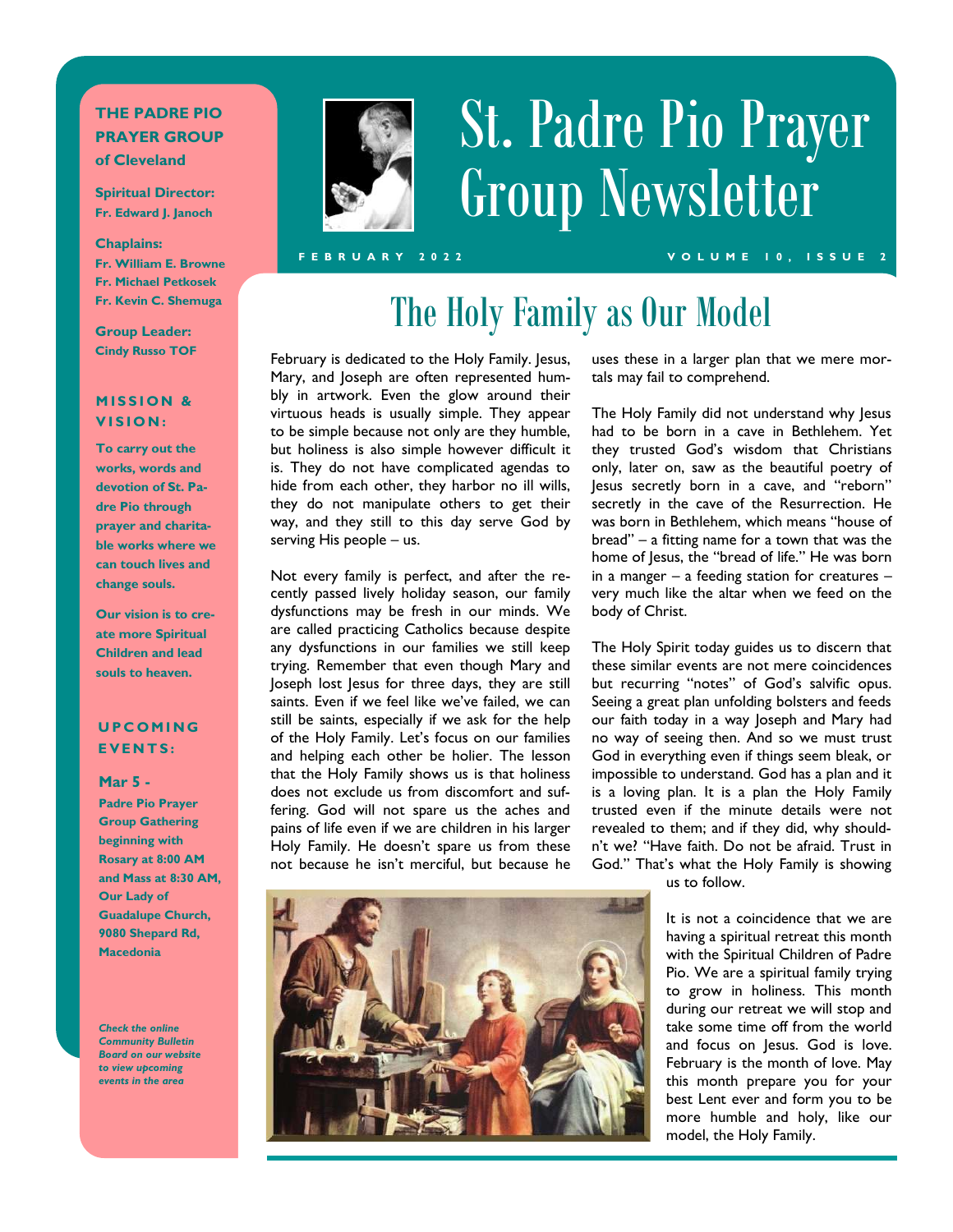## **THE PADRE PIO PRAYER GROUP of Cleveland**

**Spiritual Director: Fr. Edward J. Janoch**

#### **Chaplains:**

**Fr. William E. Browne Fr. Michael Petkosek Fr. Kevin C. Shemuga**

**Group Leader: Cindy Russo TOF**

### **MISSION & V I S I O N :**

**To carry out the works, words and devotion of St. Padre Pio through prayer and charitable works where we can touch lives and change souls.** 

**Our vision is to create more Spiritual Children and lead souls to heaven.** 

### **U P C O M I N G E V E N T S :**

#### **Mar 5 -**

**Padre Pio Prayer Group Gathering beginning with Rosary at 8:00 AM and Mass at 8:30 AM, Our Lady of Guadalupe Church, 9080 Shepard Rd, Macedonia**

*Check the online Community Bulletin Board on our website to view upcoming events in the area*



# St. Padre Pio Prayer Group Newsletter

#### **F E B R U A R Y 2 0 2 2**

### **V O L U M E 1 0 , I S S U E 2**

# The Holy Family as Our Model

February is dedicated to the Holy Family. Jesus, Mary, and Joseph are often represented humbly in artwork. Even the glow around their virtuous heads is usually simple. They appear to be simple because not only are they humble, but holiness is also simple however difficult it is. They do not have complicated agendas to hide from each other, they harbor no ill wills, they do not manipulate others to get their way, and they still to this day serve God by serving His people – us.

Not every family is perfect, and after the recently passed lively holiday season, our family dysfunctions may be fresh in our minds. We are called practicing Catholics because despite any dysfunctions in our families we still keep trying. Remember that even though Mary and Joseph lost Jesus for three days, they are still saints. Even if we feel like we've failed, we can still be saints, especially if we ask for the help of the Holy Family. Let's focus on our families and helping each other be holier. The lesson that the Holy Family shows us is that holiness does not exclude us from discomfort and suffering. God will not spare us the aches and pains of life even if we are children in his larger Holy Family. He doesn't spare us from these not because he isn't merciful, but because he

uses these in a larger plan that we mere mortals may fail to comprehend.

The Holy Family did not understand why Jesus had to be born in a cave in Bethlehem. Yet they trusted God's wisdom that Christians only, later on, saw as the beautiful poetry of Jesus secretly born in a cave, and "reborn" secretly in the cave of the Resurrection. He was born in Bethlehem, which means "house of bread" – a fitting name for a town that was the home of Jesus, the "bread of life." He was born in a manger  $-$  a feeding station for creatures  $$ very much like the altar when we feed on the body of Christ.

The Holy Spirit today guides us to discern that these similar events are not mere coincidences but recurring "notes" of God's salvific opus. Seeing a great plan unfolding bolsters and feeds our faith today in a way Joseph and Mary had no way of seeing then. And so we must trust God in everything even if things seem bleak, or impossible to understand. God has a plan and it is a loving plan. It is a plan the Holy Family trusted even if the minute details were not revealed to them; and if they did, why shouldn't we? "Have faith. Do not be afraid. Trust in God." That's what the Holy Family is showing



us to follow.

It is not a coincidence that we are having a spiritual retreat this month with the Spiritual Children of Padre Pio. We are a spiritual family trying to grow in holiness. This month during our retreat we will stop and take some time off from the world and focus on Jesus. God is love. February is the month of love. May this month prepare you for your best Lent ever and form you to be more humble and holy, like our model, the Holy Family.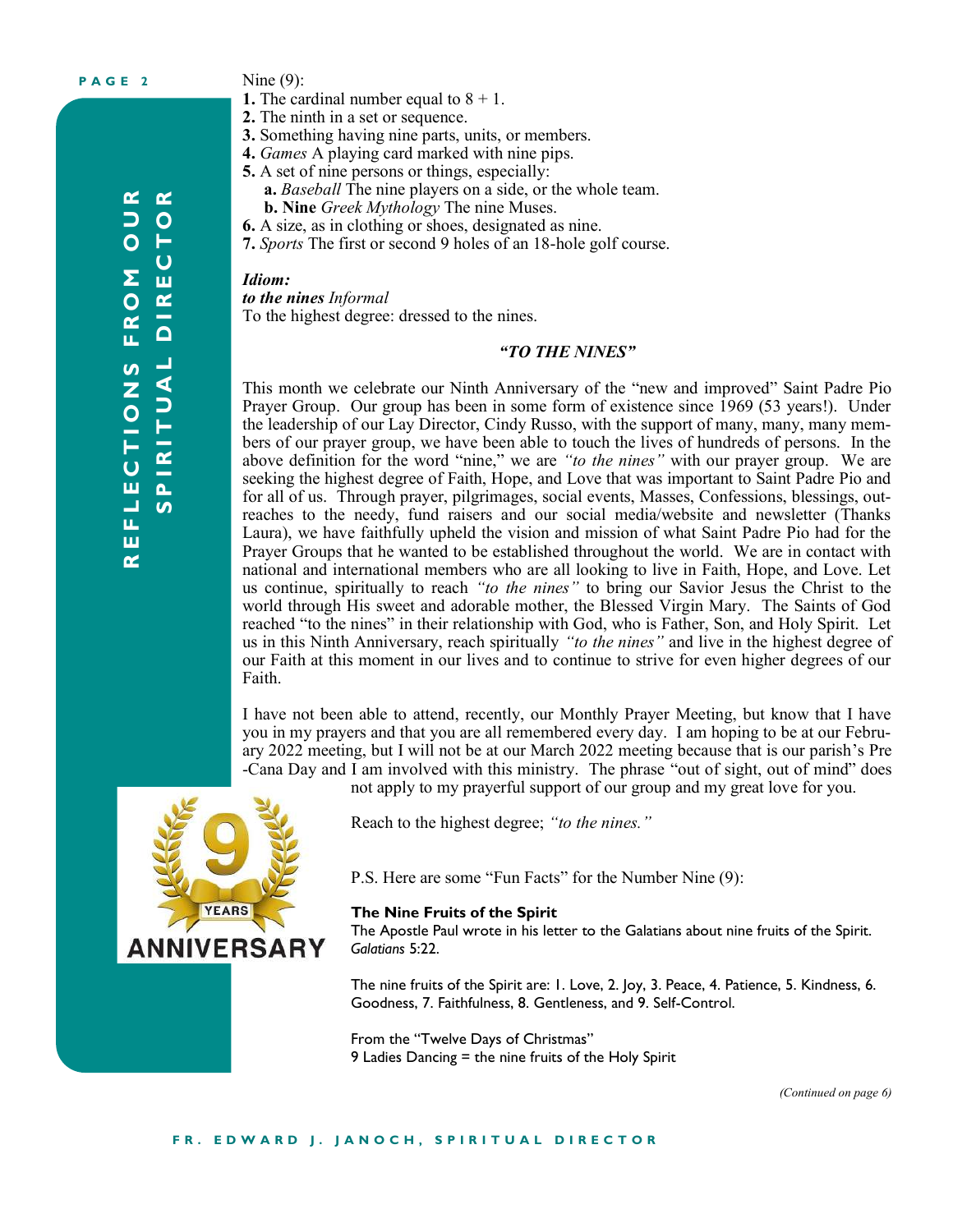#### **P A G E 2**

REFLECTIONS FROM OUR SPIRITUAL DIRECTOR  $\alpha$  $\frac{1}{2}$  $\mathbf O$  $\overline{U}$ FROM ய D<sub>IR</sub> PIRITUAL <u>ທ</u> **ZOITO** FLE ш œ

#### Nine (9):

- **1.** The cardinal number equal to  $8 + 1$ .
- **2.** The ninth in a set or sequence.
- **3.** Something having nine parts, units, or members.
- **4.** *Games* A playing card marked with nine pips.
- **5.** A set of nine persons or things, especially:
	- **a.** *Baseball* The nine players on a side, or the whole team.
	- **b. Nine** *Greek Mythology* The nine Muses.
- **6.** A size, as in clothing or shoes, designated as nine.
- **7.** *Sports* The first or second 9 holes of an 18-hole golf course.

#### *Idiom:*

*to the nines Informal*

To the highest degree: dressed to the nines.

### *"TO THE NINES"*

This month we celebrate our Ninth Anniversary of the "new and improved" Saint Padre Pio Prayer Group. Our group has been in some form of existence since 1969 (53 years!). Under the leadership of our Lay Director, Cindy Russo, with the support of many, many, many members of our prayer group, we have been able to touch the lives of hundreds of persons. In the above definition for the word "nine," we are *"to the nines"* with our prayer group. We are seeking the highest degree of Faith, Hope, and Love that was important to Saint Padre Pio and for all of us. Through prayer, pilgrimages, social events, Masses, Confessions, blessings, outreaches to the needy, fund raisers and our social media/website and newsletter (Thanks Laura), we have faithfully upheld the vision and mission of what Saint Padre Pio had for the Prayer Groups that he wanted to be established throughout the world. We are in contact with national and international members who are all looking to live in Faith, Hope, and Love. Let us continue, spiritually to reach *"to the nines"* to bring our Savior Jesus the Christ to the world through His sweet and adorable mother, the Blessed Virgin Mary. The Saints of God reached "to the nines" in their relationship with God, who is Father, Son, and Holy Spirit. Let us in this Ninth Anniversary, reach spiritually *"to the nines"* and live in the highest degree of our Faith at this moment in our lives and to continue to strive for even higher degrees of our Faith.

I have not been able to attend, recently, our Monthly Prayer Meeting, but know that I have you in my prayers and that you are all remembered every day. I am hoping to be at our February 2022 meeting, but I will not be at our March 2022 meeting because that is our parish's Pre -Cana Day and I am involved with this ministry. The phrase "out of sight, out of mind" does

not apply to my prayerful support of our group and my great love for you.



P.S. Here are some "Fun Facts" for the Number Nine (9):

#### **The Nine Fruits of the Spirit**

The Apostle Paul wrote in his letter to the Galatians about nine fruits of the Spirit. *Galatians* 5:22.

The nine fruits of the Spirit are: 1. Love, 2. Joy, 3. Peace, 4. Patience, 5. Kindness, 6. Goodness, 7. Faithfulness, 8. Gentleness, and 9. Self-Control.

From the "Twelve Days of Christmas" 9 Ladies Dancing = the nine fruits of the Holy Spirit

*(Continued on page 6)*

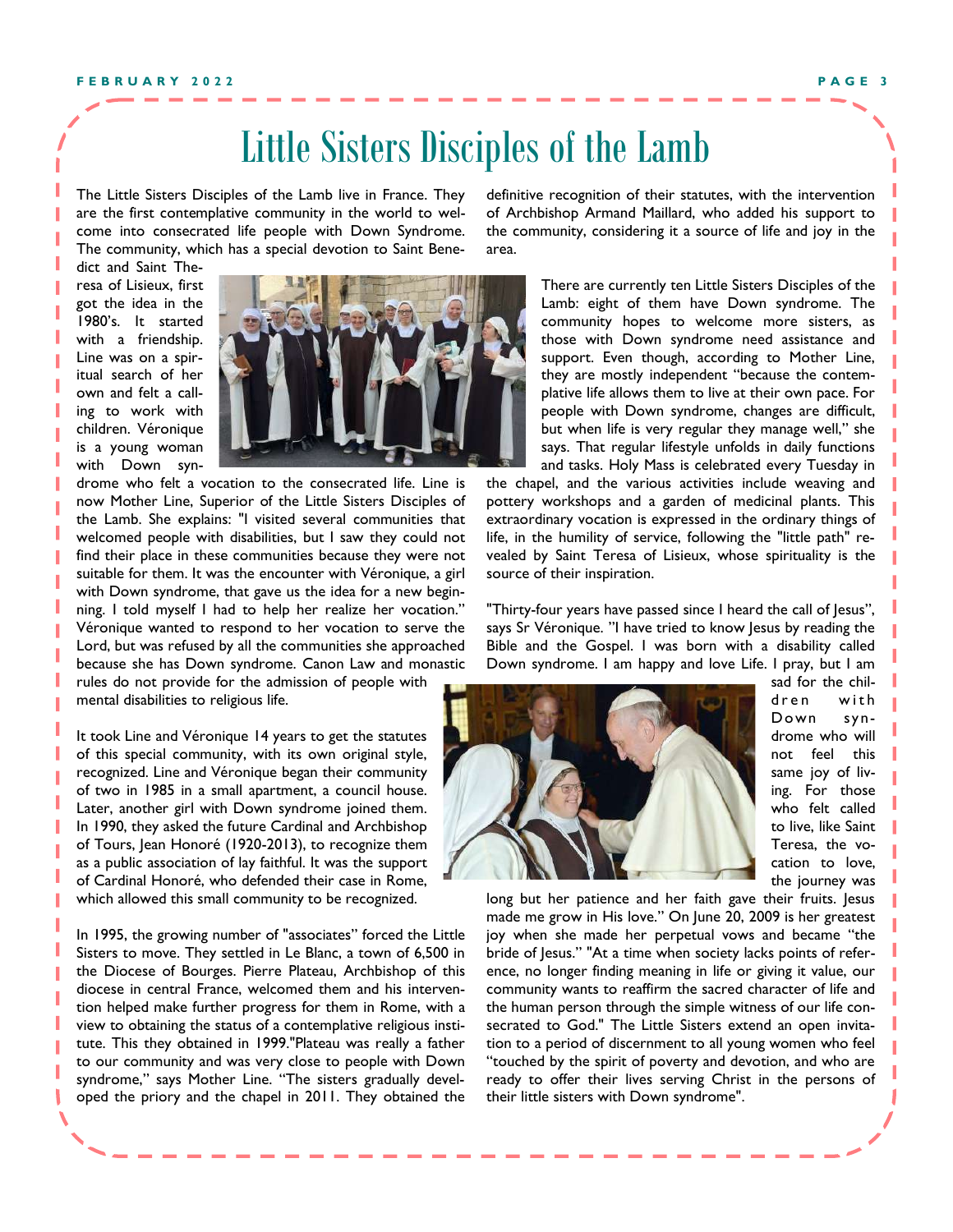# Little Sisters Disciples of the Lamb

The Little Sisters Disciples of the Lamb live in France. They are the first contemplative community in the world to welcome into consecrated life people with Down Syndrome. The community, which has a special devotion to Saint Bene-

dict and Saint Theresa of Lisieux, first got the idea in the 1980's. It started with a friendship. Line was on a spiritual search of her own and felt a calling to work with children. Véronique is a young woman with Down syn-



drome who felt a vocation to the consecrated life. Line is now Mother Line, Superior of the Little Sisters Disciples of the Lamb. She explains: "I visited several communities that welcomed people with disabilities, but I saw they could not find their place in these communities because they were not suitable for them. It was the encounter with Véronique, a girl with Down syndrome, that gave us the idea for a new beginning. I told myself I had to help her realize her vocation." Véronique wanted to respond to her vocation to serve the Lord, but was refused by all the communities she approached because she has Down syndrome. Canon Law and monastic

rules do not provide for the admission of people with mental disabilities to religious life.

It took Line and Véronique 14 years to get the statutes of this special community, with its own original style, recognized. Line and Véronique began their community of two in 1985 in a small apartment, a council house. Later, another girl with Down syndrome joined them. In 1990, they asked the future Cardinal and Archbishop of Tours, Jean Honoré (1920-2013), to recognize them as a public association of lay faithful. It was the support of Cardinal Honoré, who defended their case in Rome, which allowed this small community to be recognized.

In 1995, the growing number of "associates" forced the Little Sisters to move. They settled in Le Blanc, a town of 6,500 in the Diocese of Bourges. Pierre Plateau, Archbishop of this diocese in central France, welcomed them and his intervention helped make further progress for them in Rome, with a view to obtaining the status of a contemplative religious institute. This they obtained in 1999."Plateau was really a father to our community and was very close to people with Down syndrome," says Mother Line. "The sisters gradually developed the priory and the chapel in 2011. They obtained the definitive recognition of their statutes, with the intervention of Archbishop Armand Maillard, who added his support to the community, considering it a source of life and joy in the area.

> There are currently ten Little Sisters Disciples of the Lamb: eight of them have Down syndrome. The community hopes to welcome more sisters, as those with Down syndrome need assistance and support. Even though, according to Mother Line, they are mostly independent "because the contemplative life allows them to live at their own pace. For people with Down syndrome, changes are difficult, but when life is very regular they manage well," she says. That regular lifestyle unfolds in daily functions and tasks. Holy Mass is celebrated every Tuesday in

the chapel, and the various activities include weaving and pottery workshops and a garden of medicinal plants. This extraordinary vocation is expressed in the ordinary things of life, in the humility of service, following the "little path" revealed by Saint Teresa of Lisieux, whose spirituality is the source of their inspiration.

"Thirty-four years have passed since I heard the call of Jesus", says Sr Véronique. "I have tried to know Jesus by reading the Bible and the Gospel. I was born with a disability called Down syndrome. I am happy and love Life. I pray, but I am



sad for the child ren with Down syndrome who will not feel this same joy of living. For those who felt called to live, like Saint Teresa, the vocation to love, the journey was

long but her patience and her faith gave their fruits. Jesus made me grow in His love." On June 20, 2009 is her greatest joy when she made her perpetual vows and became "the bride of Jesus." "At a time when society lacks points of reference, no longer finding meaning in life or giving it value, our community wants to reaffirm the sacred character of life and the human person through the simple witness of our life consecrated to God." The Little Sisters extend an open invitation to a period of discernment to all young women who feel "touched by the spirit of poverty and devotion, and who are ready to offer their lives serving Christ in the persons of their little sisters with Down syndrome".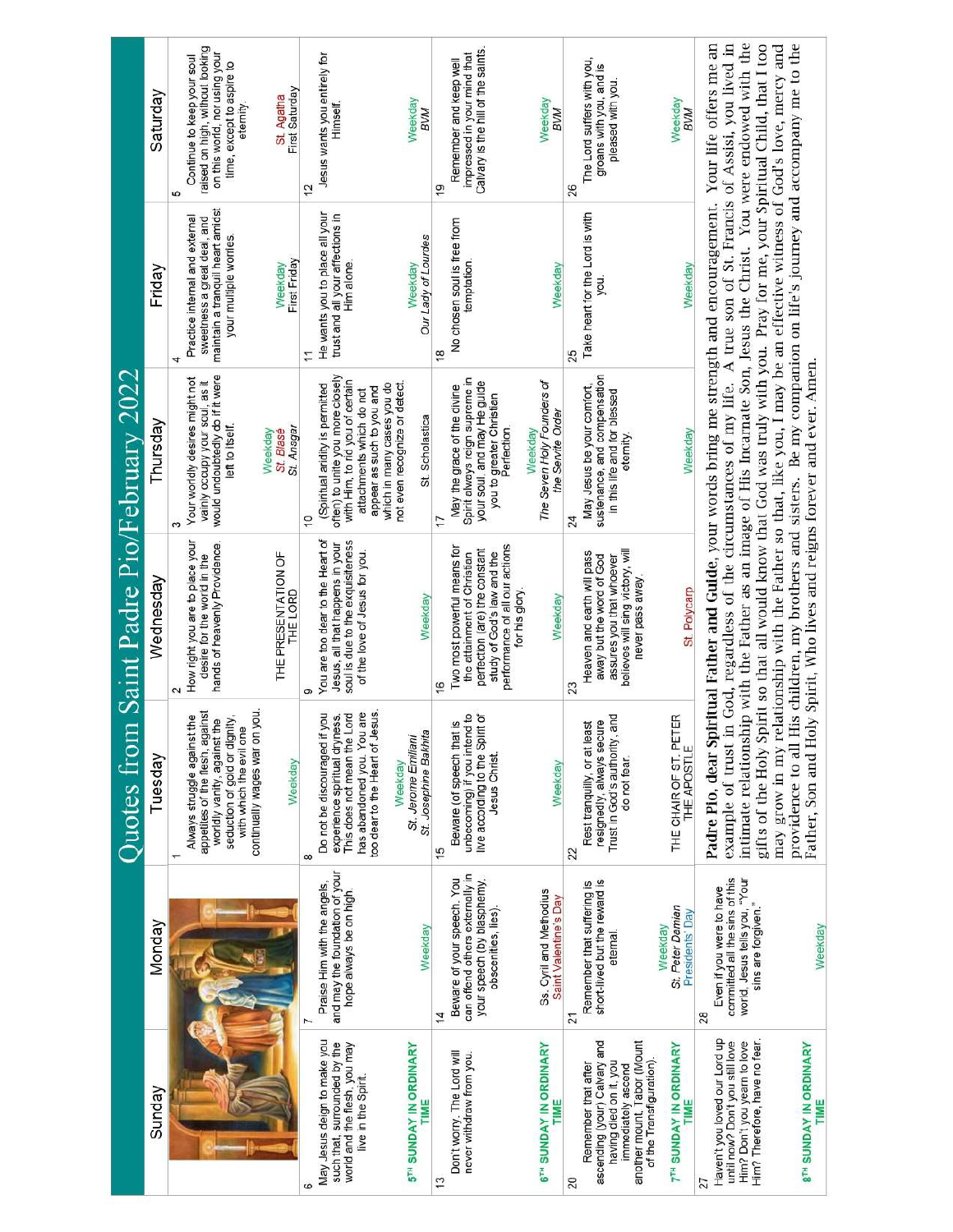|                                                                                                                                                                                                 |                                                                                                                                                                              | Quotes from                                                                                                                                                                                                                           | Saint Padre Pio/February 2022                                                                                                                                                            |                                                                                                                                                                                                                                                                                                                                                                                                                                                                                                                                                                                                                                                                                                                                                                |                                                                                                                                  |                                                                                                                                               |
|-------------------------------------------------------------------------------------------------------------------------------------------------------------------------------------------------|------------------------------------------------------------------------------------------------------------------------------------------------------------------------------|---------------------------------------------------------------------------------------------------------------------------------------------------------------------------------------------------------------------------------------|------------------------------------------------------------------------------------------------------------------------------------------------------------------------------------------|----------------------------------------------------------------------------------------------------------------------------------------------------------------------------------------------------------------------------------------------------------------------------------------------------------------------------------------------------------------------------------------------------------------------------------------------------------------------------------------------------------------------------------------------------------------------------------------------------------------------------------------------------------------------------------------------------------------------------------------------------------------|----------------------------------------------------------------------------------------------------------------------------------|-----------------------------------------------------------------------------------------------------------------------------------------------|
| Sunday                                                                                                                                                                                          | Monday                                                                                                                                                                       | Tuesday                                                                                                                                                                                                                               | Wednesday                                                                                                                                                                                | Thursday                                                                                                                                                                                                                                                                                                                                                                                                                                                                                                                                                                                                                                                                                                                                                       | Friday                                                                                                                           | Saturday                                                                                                                                      |
|                                                                                                                                                                                                 |                                                                                                                                                                              | continually wages war on you.<br>Always struggle against the<br>appetites of the flesh, against<br>worldly vanity, against the<br>seduction of gold or dignity<br>with which the evil one                                             | How right you are to place your<br>hands of heavenly Providence.<br>desire for the world in the                                                                                          | would undoubtedly do if it were<br>Your worldly desires might not<br>vainly occupy your soul, as it<br>left to itself.<br>Weekday                                                                                                                                                                                                                                                                                                                                                                                                                                                                                                                                                                                                                              | maintain a tranquil heart amidst<br>Practice internal and external<br>sweetness a great deal, and<br>your multiple worries.<br>4 | raised on high, without looking<br>on this world, nor using your<br>Continue to keep your soul<br>time, except to aspire to<br>eternity.<br>5 |
|                                                                                                                                                                                                 |                                                                                                                                                                              | Weekday                                                                                                                                                                                                                               | THE PRESENTATION OF<br>THE LORD                                                                                                                                                          | St. Ansgar<br>St. Blasé                                                                                                                                                                                                                                                                                                                                                                                                                                                                                                                                                                                                                                                                                                                                        | First Friday<br>Weekday                                                                                                          | First Saturday<br>St. Agatha                                                                                                                  |
| May Jesus deign to make you<br>such that, surrounded by the<br>world and the flesh, you may<br>5TH SUNDAY IN ORDINARY<br>live in the Spirit.<br>TIME                                            | and may the foundation of your<br>Praise Him with the angels,<br>hope always be on high.<br>Weekday                                                                          | too dear to the Heart of Jesus.<br>has abandoned you. You are<br>Do not be discouraged if you<br>This does not mean the Lord<br>experience spiritual dryness<br>St. Josephine Bakhita<br>St. Jerome Emiliani<br>Weekday<br>$^{\circ}$ | Jesus, all that happens in your<br>soul is due to the exquisiteness<br>You are too dear to the Heart of<br>of the love of Jesus for you.<br>Weekday                                      | often) to unite you more closely<br>with Him, to rid you of certain<br>not even recognize or detect.<br>which in many cases you do<br>(Spiritual aridity is permitted<br>appear as such to you and<br>attachments which do not<br>St. Scholastica<br>°,                                                                                                                                                                                                                                                                                                                                                                                                                                                                                                        | He wants you to place all your<br>trust and all your affections in<br>Our Lady of Lourdes<br>Him alone.<br>Weekday<br>H          | Jesus wants you entirely for<br>Weekday<br>Himself.<br><b>BVM</b><br>12                                                                       |
| 6TH SUNDAY IN ORDINARY<br>Don't worry. The Lord will<br>never withdraw from you.<br>TIME<br>$\overline{3}$                                                                                      | can offend others externally in<br>your speech (by blasphemy,<br>Beware of your speech. You<br>Ss. Cyril and Methodius<br>Saint Valentine's Day<br>obscenities, lies).<br>14 | unbecoming) if you intend to<br>live according to the Spirit or<br>Beware (of speech that is<br>Jesus Christ.<br>Weekday<br>$\frac{5}{2}$                                                                                             | performance of all our actions<br>Two most powerful means for<br>perfection (are) the constant<br>study of God's law and the<br>the attainment of Christian<br>for his glory.<br>Weekday | Spirit always reign supreme in<br>your soul, and may He guide<br>The Seven Holy Founders of<br>May the grace of the divine<br>you to greater Christian<br>the Servite Order<br>Perfection.<br>Weekday<br>$\overline{17}$                                                                                                                                                                                                                                                                                                                                                                                                                                                                                                                                       | No chosen soul is free from<br>temptation.<br>Weekday<br>$\frac{8}{5}$                                                           | Calvary is the hill of the saints.<br>impressed in your mind that<br>Remember and keep well<br>Weekday<br><b>BVM</b><br>ö,                    |
| ascending (your) Calvary and<br>another mount, Tabor (Mount<br>7TH SUNDAY IN ORDINARY<br>having died on it, you<br>of the Transfiguration)<br>Remember that after<br>immediately ascend<br>TIME | short-lived but the reward is<br>Remember that suffering is<br>St. Peter Damian<br>Presidents' Day<br>Weekday<br>eternal.<br>51                                              | resignedly, always secure<br>Trust in God's authority, and<br>THE CHAIR OF ST. PETER<br>THE APOSTLE<br>Rest tranquilly, or at least<br>do not fear.<br>22                                                                             | believes will sing victory, will<br>Heaven and earth will pass<br>assures you that whoever<br>away but the word of God<br>never pass away.<br>St. Polycarp                               | sustenance, and compensation<br>May Jesus be your comfort,<br>in this life and for blessed<br>Weekday<br>eternity.                                                                                                                                                                                                                                                                                                                                                                                                                                                                                                                                                                                                                                             | Take heart for the Lord is with<br>Weekday<br>you.<br>25                                                                         | The Lord suffers with you,<br>groans with you, and is<br>pleased with you.<br>Weekday<br><b>BVM</b><br>26                                     |
| Haven't you loved our Lord up<br>Him? Therefore, have no fear.<br>Him? Don't you yearn to love<br>until now? Don't you still love<br>8TH SUNDAY IN ORDINARY<br>TIME                             | committed all the sins of this<br>world, Jesus tells you, "Your<br>sins are forgiven."<br>Even if you were to have<br>Mookday<br>28                                          | providence to all His<br>Father, Son and Holy<br>Padre Pio, dear Spiri                                                                                                                                                                |                                                                                                                                                                                          | intimate relationship with the Father as an image of His Incarnate Son, Jesus the Christ. You were endowed with the<br>itual Father and Guide, your words bring me strength and encouragement. Your life offers me an<br>example of trust in God, regardless of the circumstances of my life. A true son of St. Francis of Assisi, you lived in<br>gifts of the Holy Spirit so that all would know that God was truly with you. Pray for me, your Spiritual Child, that I too<br>children, my brothers and sisters. Be my companion on life's journey and accompany me to the<br>may grow in my relationship with the Father so that, like you, I may be an effective witness of God's love, mercy and<br>Spirit, Who lives and reigns forever and ever. Amen. |                                                                                                                                  |                                                                                                                                               |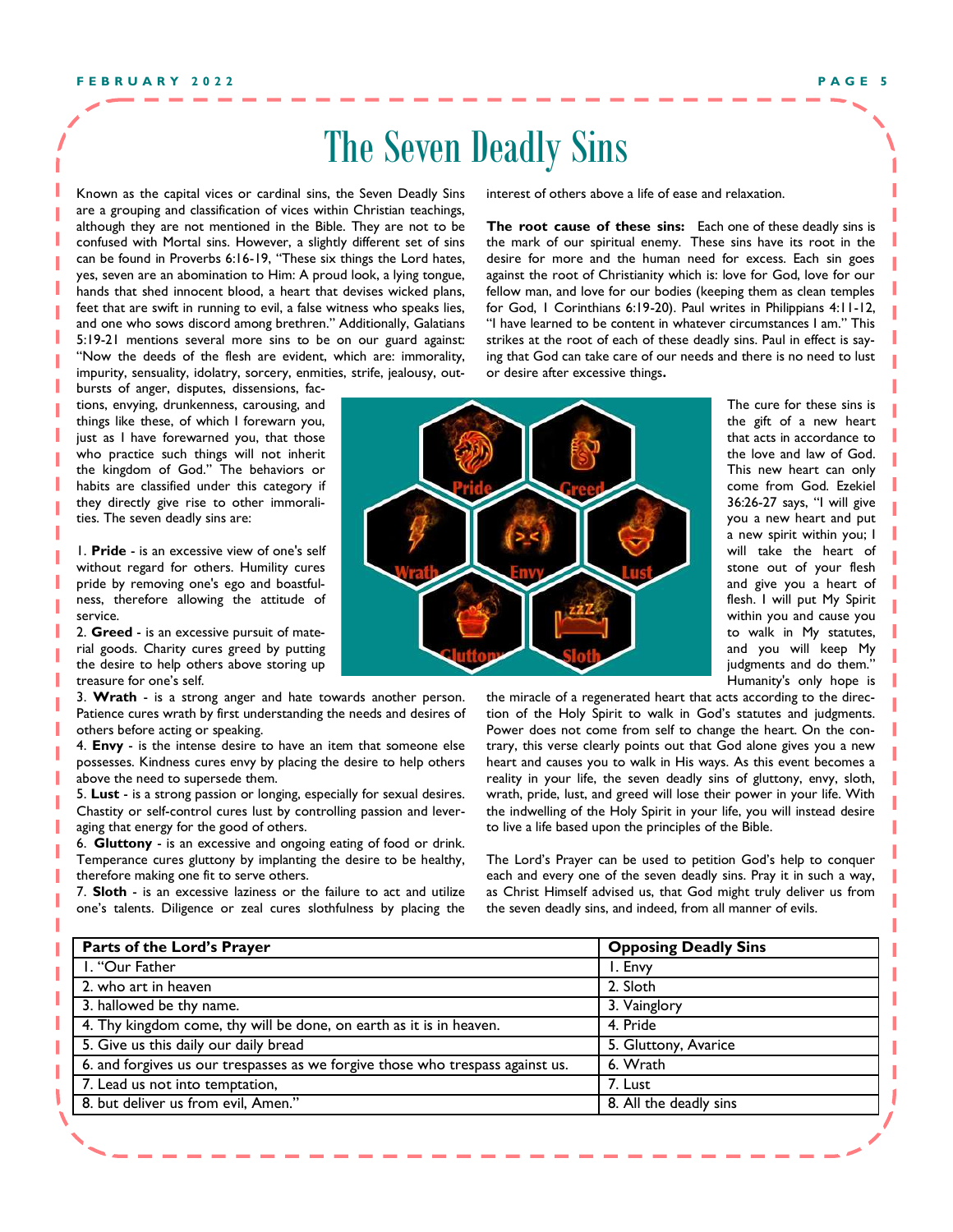# The Seven Deadly Sins

Known as the capital vices or cardinal sins, the Seven Deadly Sins are a grouping and classification of vices within Christian teachings, although they are not mentioned in the Bible. They are not to be confused with Mortal sins. However, a slightly different set of sins can be found in Proverbs 6:16-19, "These six things the Lord hates, yes, seven are an abomination to Him: A proud look, a lying tongue, hands that shed innocent blood, a heart that devises wicked plans, feet that are swift in running to evil, a false witness who speaks lies, and one who sows discord among brethren." Additionally, Galatians 5:19-21 mentions several more sins to be on our guard against: "Now the deeds of the flesh are evident, which are: immorality, impurity, sensuality, idolatry, sorcery, enmities, strife, jealousy, out-

bursts of anger, disputes, dissensions, factions, envying, drunkenness, carousing, and things like these, of which I forewarn you, just as I have forewarned you, that those who practice such things will not inherit the kingdom of God." The behaviors or habits are classified under this category if they directly give rise to other immoralities. The seven deadly sins are:

1. **Pride** - is an excessive view of one's self without regard for others. Humility cures pride by removing one's ego and boastfulness, therefore allowing the attitude of service.

2. **Greed** - is an excessive pursuit of material goods. Charity cures greed by putting the desire to help others above storing up treasure for one's self.

3. **Wrath** - is a strong anger and hate towards another person. Patience cures wrath by first understanding the needs and desires of others before acting or speaking.

4. **Envy** - is the intense desire to have an item that someone else possesses. Kindness cures envy by placing the desire to help others above the need to supersede them.

5. **Lust** - is a strong passion or longing, especially for sexual desires. Chastity or self-control cures lust by controlling passion and leveraging that energy for the good of others.

6. **Gluttony** - is an excessive and ongoing eating of food or drink. Temperance cures gluttony by implanting the desire to be healthy, therefore making one fit to serve others.

7. **Sloth** - is an excessive laziness or the failure to act and utilize one's talents. Diligence or zeal cures slothfulness by placing the interest of others above a life of ease and relaxation.

**The root cause of these sins:** Each one of these deadly sins is the mark of our spiritual enemy. These sins have its root in the desire for more and the human need for excess. Each sin goes against the root of Christianity which is: love for God, love for our fellow man, and love for our bodies (keeping them as clean temples for God, 1 Corinthians 6:19-20). Paul writes in Philippians 4:11-12, "I have learned to be content in whatever circumstances I am." This strikes at the root of each of these deadly sins. Paul in effect is saying that God can take care of our needs and there is no need to lust or desire after excessive things**.**



The cure for these sins is the gift of a new heart that acts in accordance to the love and law of God. This new heart can only come from God. Ezekiel 36:26-27 says, "I will give you a new heart and put a new spirit within you; I will take the heart of stone out of your flesh and give you a heart of flesh. I will put My Spirit within you and cause you to walk in My statutes, and you will keep My judgments and do them.' Humanity's only hope is

the miracle of a regenerated heart that acts according to the direction of the Holy Spirit to walk in God's statutes and judgments. Power does not come from self to change the heart. On the contrary, this verse clearly points out that God alone gives you a new heart and causes you to walk in His ways. As this event becomes a reality in your life, the seven deadly sins of gluttony, envy, sloth, wrath, pride, lust, and greed will lose their power in your life. With the indwelling of the Holy Spirit in your life, you will instead desire to live a life based upon the principles of the Bible.

The Lord's Prayer can be used to petition God's help to conquer each and every one of the seven deadly sins. Pray it in such a way, as Christ Himself advised us, that God might truly deliver us from the seven deadly sins, and indeed, from all manner of evils.

| Parts of the Lord's Prayer                                                     | <b>Opposing Deadly Sins</b> |
|--------------------------------------------------------------------------------|-----------------------------|
| I. "Our Father                                                                 | I. Envy                     |
| 2. who art in heaven                                                           | 2. Sloth                    |
| 3. hallowed be thy name.                                                       | 3. Vainglory                |
| 4. Thy kingdom come, thy will be done, on earth as it is in heaven.            | 4. Pride                    |
| 5. Give us this daily our daily bread                                          | 5. Gluttony, Avarice        |
| 6. and forgives us our trespasses as we forgive those who trespass against us. | 6. Wrath                    |
| 7. Lead us not into temptation,                                                | 7. Lust                     |
| 8. but deliver us from evil, Amen."                                            | 8. All the deadly sins      |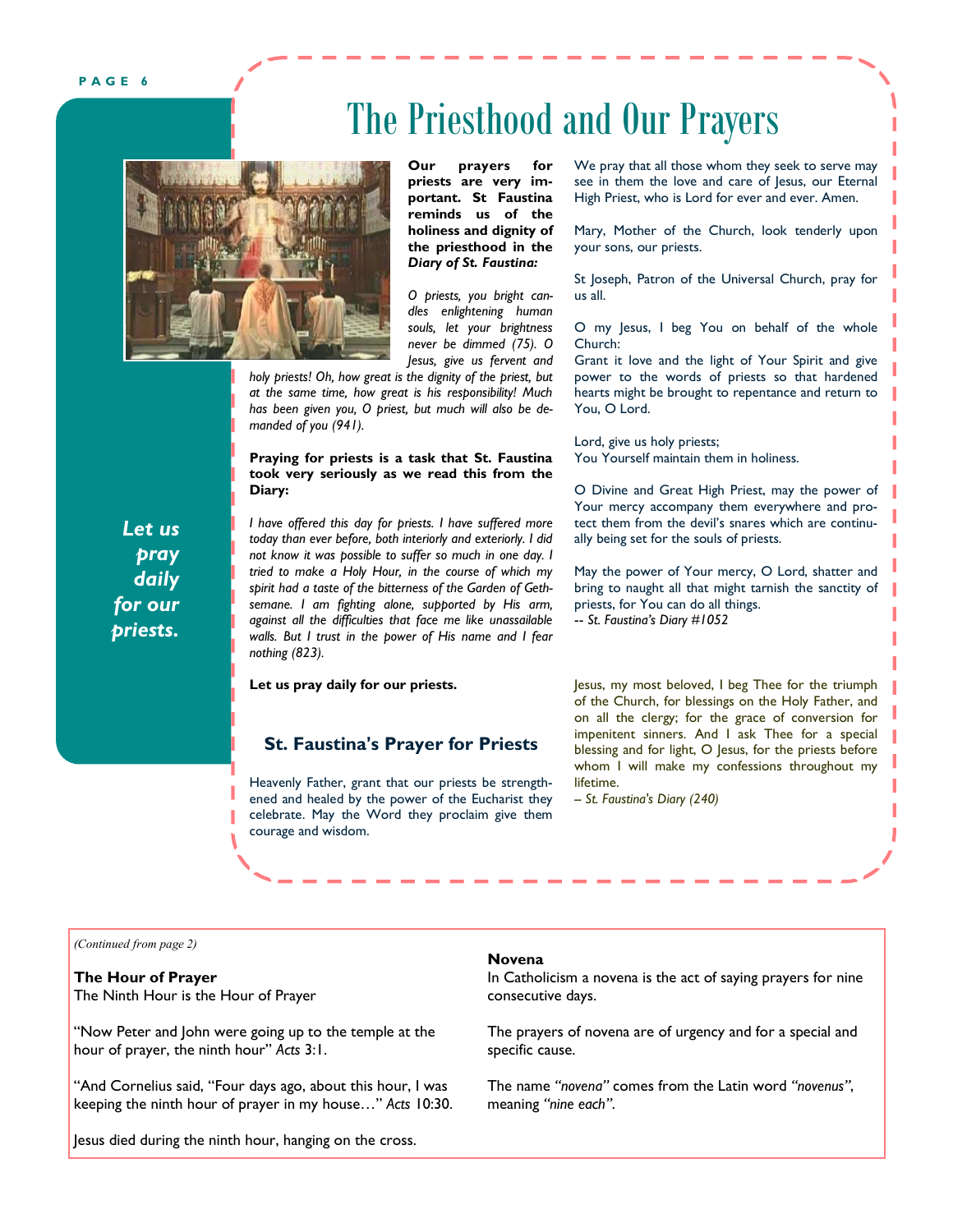# The Priesthood and Our Prayers



**Our prayers for priests are very important. St Faustina reminds us of the holiness and dignity of the priesthood in the**  *Diary of St. Faustina:*

*O priests, you bright candles enlightening human souls, let your brightness never be dimmed (75). O Jesus, give us fervent and* 

*holy priests! Oh, how great is the dignity of the priest, but at the same time, how great is his responsibility! Much has been given you, O priest, but much will also be demanded of you (941).*

#### **Praying for priests is a task that St. Faustina took very seriously as we read this from the Diary:**

*Let us pray daily for our priests.*

*I have offered this day for priests. I have suffered more today than ever before, both interiorly and exteriorly. I did not know it was possible to suffer so much in one day. I tried to make a Holy Hour, in the course of which my spirit had a taste of the bitterness of the Garden of Gethsemane. I am fighting alone, supported by His arm, against all the difficulties that face me like unassailable walls. But I trust in the power of His name and I fear nothing (823).*

**Let us pray daily for our priests.**

### **St. Faustina**'**s Prayer for Priests**

Heavenly Father, grant that our priests be strengthened and healed by the power of the Eucharist they celebrate. May the Word they proclaim give them courage and wisdom.

We pray that all those whom they seek to serve may see in them the love and care of Jesus, our Eternal High Priest, who is Lord for ever and ever. Amen.

Mary, Mother of the Church, look tenderly upon your sons, our priests.

St Joseph, Patron of the Universal Church, pray for us all.

O my Jesus, I beg You on behalf of the whole Church:

Grant it love and the light of Your Spirit and give power to the words of priests so that hardened hearts might be brought to repentance and return to You, O Lord.

Lord, give us holy priests; You Yourself maintain them in holiness.

O Divine and Great High Priest, may the power of Your mercy accompany them everywhere and protect them from the devil's snares which are continually being set for the souls of priests.

May the power of Your mercy, O Lord, shatter and bring to naught all that might tarnish the sanctity of priests, for You can do all things.

-- *St. Faustina's Diary #1052*

Jesus, my most beloved, I beg Thee for the triumph of the Church, for blessings on the Holy Father, and on all the clergy; for the grace of conversion for impenitent sinners. And I ask Thee for a special blessing and for light, O Jesus, for the priests before whom I will make my confessions throughout my lifetime.

*-- St. Faustina's Diary (240)*

*(Continued from page 2)*

**The Hour of Prayer** The Ninth Hour is the Hour of Prayer

"Now Peter and John were going up to the temple at the hour of prayer, the ninth hour" *Acts* 3:1.

"And Cornelius said, "Four days ago, about this hour, I was keeping the ninth hour of prayer in my house…" *Acts* 10:30.

Jesus died during the ninth hour, hanging on the cross.

#### **Novena**

In Catholicism a novena is the act of saying prayers for nine consecutive days.

The prayers of novena are of urgency and for a special and specific cause.

The name *"novena"* comes from the Latin word *"novenus"*, meaning *"nine each"*.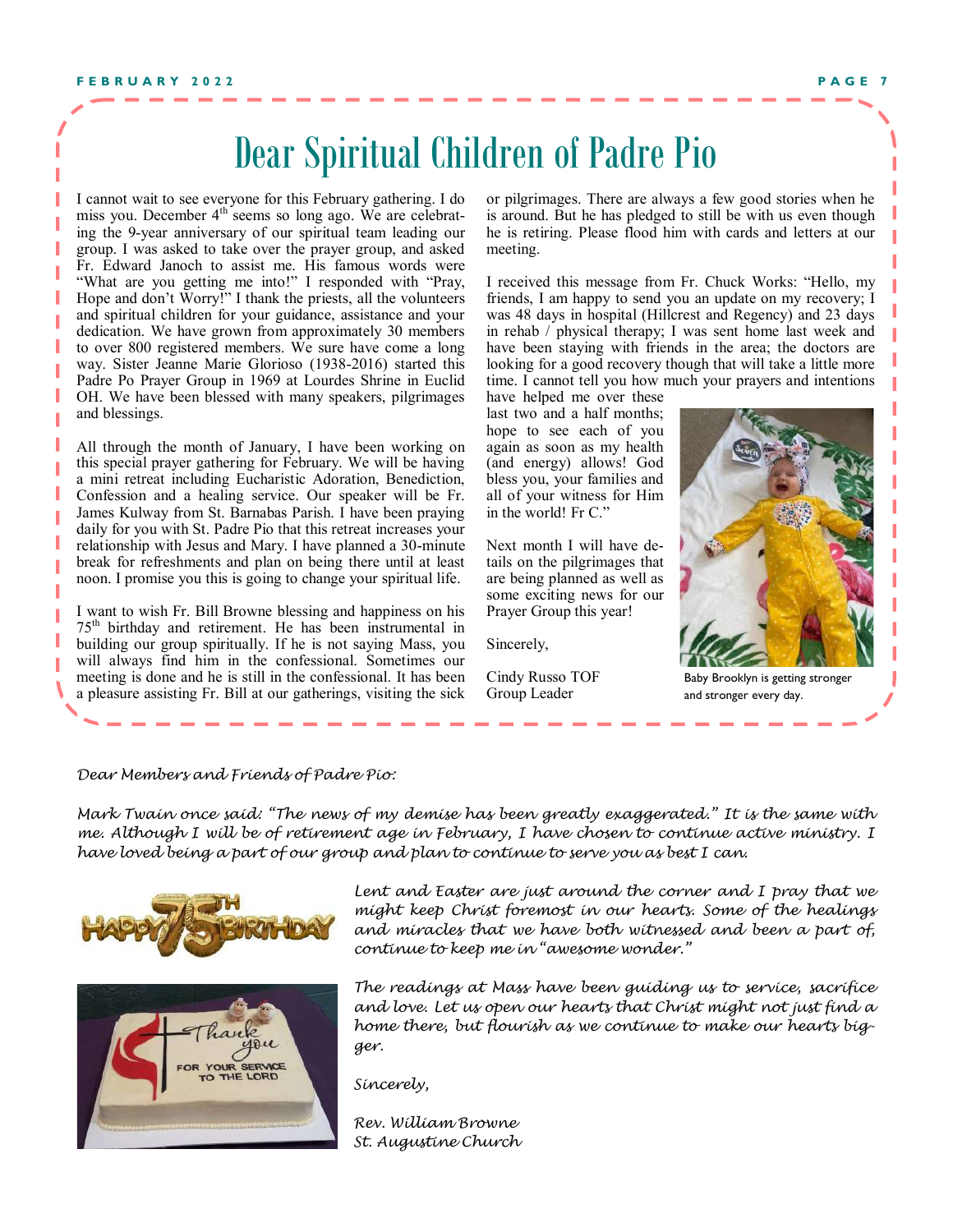# Dear Spiritual Children of Padre Pio

I cannot wait to see everyone for this February gathering. I do miss you. December 4<sup>th</sup> seems so long ago. We are celebrating the 9-year anniversary of our spiritual team leading our group. I was asked to take over the prayer group, and asked Fr. Edward Janoch to assist me. His famous words were "What are you getting me into!" I responded with "Pray, Hope and don't Worry!" I thank the priests, all the volunteers and spiritual children for your guidance, assistance and your dedication. We have grown from approximately 30 members to over 800 registered members. We sure have come a long way. Sister Jeanne Marie Glorioso (1938-2016) started this Padre Po Prayer Group in 1969 at Lourdes Shrine in Euclid OH. We have been blessed with many speakers, pilgrimages and blessings.

All through the month of January, I have been working on this special prayer gathering for February. We will be having a mini retreat including Eucharistic Adoration, Benediction, Confession and a healing service. Our speaker will be Fr. James Kulway from St. Barnabas Parish. I have been praying daily for you with St. Padre Pio that this retreat increases your relationship with Jesus and Mary. I have planned a 30-minute break for refreshments and plan on being there until at least noon. I promise you this is going to change your spiritual life.

I want to wish Fr. Bill Browne blessing and happiness on his  $75<sup>th</sup>$  birthday and retirement. He has been instrumental in building our group spiritually. If he is not saying Mass, you will always find him in the confessional. Sometimes our meeting is done and he is still in the confessional. It has been a pleasure assisting Fr. Bill at our gatherings, visiting the sick or pilgrimages. There are always a few good stories when he is around. But he has pledged to still be with us even though he is retiring. Please flood him with cards and letters at our meeting.

I received this message from Fr. Chuck Works: "Hello, my friends, I am happy to send you an update on my recovery; I was 48 days in hospital (Hillcrest and Regency) and 23 days in rehab / physical therapy; I was sent home last week and have been staying with friends in the area; the doctors are looking for a good recovery though that will take a little more time. I cannot tell you how much your prayers and intentions

have helped me over these last two and a half months; hope to see each of you again as soon as my health (and energy) allows! God bless you, your families and all of your witness for Him in the world! Fr C."

Next month I will have details on the pilgrimages that are being planned as well as some exciting news for our Prayer Group this year!

Sincerely,

Cindy Russo TOF Group Leader



Baby Brooklyn is getting stronger and stronger every day.

#### *Dear Members and Friends of Padre Pio:*

*Mark Twain once said: "The news of my demise has been greatly exaggerated." It is the same with me. Although I will be of retirement age in February, I have chosen to continue active ministry. I have loved being a part of our group and plan to continue to serve you as best I can.*



YOUR SERVICE

*Lent and Easter are just around the corner and I pray that we might keep Christ foremost in our hearts. Some of the healings and miracles that we have both witnessed and been a part of, continue to keep me in "awesome wonder."*

*The readings at Mass have been guiding us to service, sacrifice and love. Let us open our hearts that Christ might not just find a home there, but flourish as we continue to make our hearts bigger.*

*Sincerely,*

*Rev. William Browne St. Augustine Church*